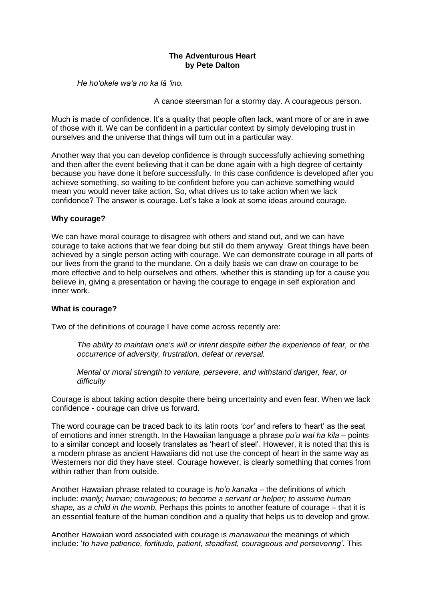### **The Adventurous Heart by Pete Dalton**

*He ho'okele wa'a no ka lā 'ino.* 

A canoe steersman for a stormy day. A courageous person.

Much is made of confidence. It's a quality that people often lack, want more of or are in awe of those with it. We can be confident in a particular context by simply developing trust in ourselves and the universe that things will turn out in a particular way.

Another way that you can develop confidence is through successfully achieving something and then after the event believing that it can be done again with a high degree of certainty because you have done it before successfully. In this case confidence is developed after you achieve something, so waiting to be confident before you can achieve something would mean you would never take action. So, what drives us to take action when we lack confidence? The answer is courage. Let's take a look at some ideas around courage.

# **Why courage?**

We can have moral courage to disagree with others and stand out, and we can have courage to take actions that we fear doing but still do them anyway. Great things have been achieved by a single person acting with courage. We can demonstrate courage in all parts of our lives from the grand to the mundane. On a daily basis we can draw on courage to be more effective and to help ourselves and others, whether this is standing up for a cause you believe in, giving a presentation or having the courage to engage in self exploration and inner work.

# **What is courage?**

Two of the definitions of courage I have come across recently are:

*The ability to maintain one's will or intent despite either the experience of fear, or the occurrence of adversity, frustration, defeat or reversal.*

*Mental or moral strength to venture, persevere, and withstand danger, fear, or difficulty*

Courage is about taking action despite there being uncertainty and even fear. When we lack confidence - courage can drive us forward.

The word courage can be traced back to its latin roots *'cor'* and refers to 'heart' as the seat of emotions and inner strength. In the Hawaiian language a phrase *pu'u wai ha kila* – points to a similar concept and loosely translates as 'heart of steel'. However, it is noted that this is a modern phrase as ancient Hawaiians did not use the concept of heart in the same way as Westerners nor did they have steel. Courage however, is clearly something that comes from within rather than from outside.

Another Hawaiian phrase related to courage is *ho'o kanaka* – the definitions of which include: *manly; human; courageous; to become a servant or helper; to assume human shape, as a child in the womb*. Perhaps this points to another feature of courage – that it is an essential feature of the human condition and a quality that helps us to develop and grow.

Another Hawaiian word associated with courage is *manawanui* the meanings of which include: '*to have patience, fortitude, patient, steadfast, courageous and persevering'*. This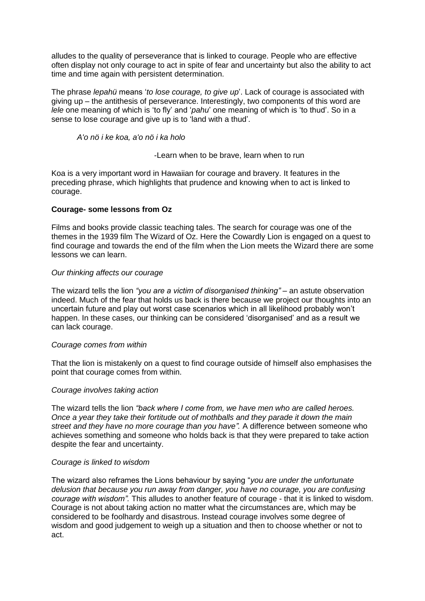alludes to the quality of perseverance that is linked to courage. People who are effective often display not only courage to act in spite of fear and uncertainty but also the ability to act time and time again with persistent determination.

The phrase *lepahü* means '*to lose courage, to give up*'. Lack of courage is associated with giving up – the antithesis of perseverance. Interestingly, two components of this word are *lele* one meaning of which is 'to fly' and '*pahu*' one meaning of which is 'to thud'. So in a sense to lose courage and give up is to 'land with a thud'.

*A'o nö i ke koa, a'o nö i ka holo*

-Learn when to be brave, learn when to run

Koa is a very important word in Hawaiian for courage and bravery. It features in the preceding phrase, which highlights that prudence and knowing when to act is linked to courage.

# **Courage- some lessons from Oz**

Films and books provide classic teaching tales. The search for courage was one of the themes in the 1939 film The Wizard of Oz. Here the Cowardly Lion is engaged on a quest to find courage and towards the end of the film when the Lion meets the Wizard there are some lessons we can learn.

### *Our thinking affects our courage*

The wizard tells the lion *"you are a victim of disorganised thinking"* – an astute observation indeed. Much of the fear that holds us back is there because we project our thoughts into an uncertain future and play out worst case scenarios which in all likelihood probably won't happen. In these cases, our thinking can be considered 'disorganised' and as a result we can lack courage.

#### *Courage comes from within*

That the lion is mistakenly on a quest to find courage outside of himself also emphasises the point that courage comes from within.

# *Courage involves taking action*

The wizard tells the lion *"back where I come from, we have men who are called heroes. Once a year they take their fortitude out of mothballs and they parade it down the main street and they have no more courage than you have".* A difference between someone who achieves something and someone who holds back is that they were prepared to take action despite the fear and uncertainty.

#### *Courage is linked to wisdom*

The wizard also reframes the Lions behaviour by saying "*you are under the unfortunate delusion that because you run away from danger, you have no courage, you are confusing courage with wisdom".* This alludes to another feature of courage - that it is linked to wisdom. Courage is not about taking action no matter what the circumstances are, which may be considered to be foolhardy and disastrous. Instead courage involves some degree of wisdom and good judgement to weigh up a situation and then to choose whether or not to act.